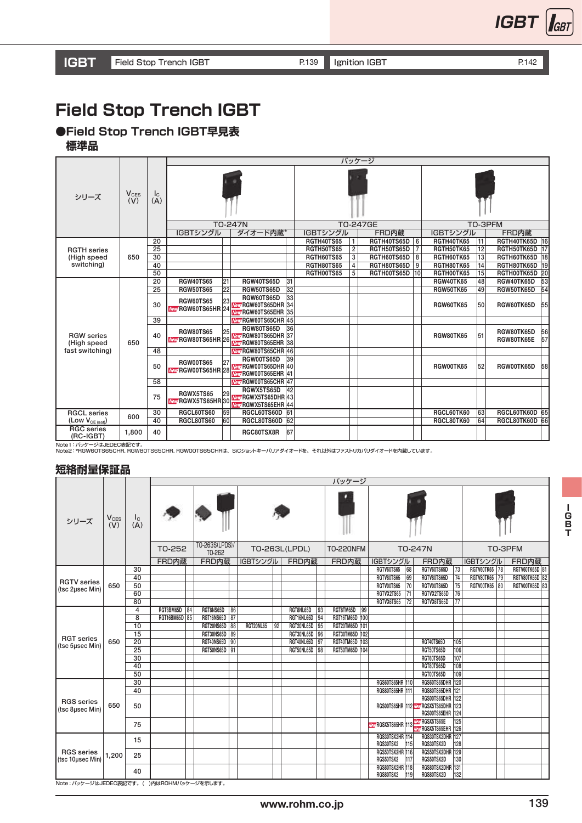

## **Field Stop Trench IGBT**

**●Field Stop Trench IGBT早見表**

 **標準品**

|                                  |                               |                    |                                               |    |                                                                  |                 |                   |                         | パッケージ          |   |                  |    |                          |                 |  |
|----------------------------------|-------------------------------|--------------------|-----------------------------------------------|----|------------------------------------------------------------------|-----------------|-------------------|-------------------------|----------------|---|------------------|----|--------------------------|-----------------|--|
| シリーズ                             | <b>V<sub>CES</sub></b><br>(V) | $I_{\rm C}$<br>(A) |                                               |    |                                                                  |                 |                   |                         |                |   |                  |    |                          |                 |  |
|                                  |                               |                    | <b>TO-247N</b>                                |    |                                                                  |                 |                   |                         | TO-247GE       |   | TO-3PFM          |    |                          |                 |  |
|                                  |                               |                    | IGBTシングル                                      |    | ダイオード内蔵*                                                         |                 | IGBTシングル          |                         | FRD内蔵          |   | IGBTシングル         |    | FRD内蔵                    |                 |  |
|                                  |                               | 20                 |                                               |    |                                                                  |                 | <b>RGTH40TS65</b> | 1                       | RGTH40TS65D    | 6 | RGTH40TK65       | 11 | RGTH40TK65D              | 16              |  |
| <b>RGTH</b> series               |                               | 25                 |                                               |    |                                                                  |                 | <b>RGTH50TS65</b> | $\overline{\mathbf{2}}$ | RGTH50TS65D    | 7 | RGTH50TK65       | 12 | RGTH50TK65D              | $\overline{17}$ |  |
| (High speed                      | 650                           | 30                 |                                               |    |                                                                  |                 | RGTH60TS65        | $\overline{3}$          | RGTH60TS65D    | 8 | RGTH60TK65       | 13 | RGTH60TK65D 18           |                 |  |
| switching)                       |                               | 40                 |                                               |    |                                                                  |                 | RGTH80TS65        | 4                       | RGTH80TS65D    | 9 | RGTH80TK65       | 14 | RGTH80TK65D              | 19              |  |
|                                  |                               | 50                 |                                               |    |                                                                  |                 | RGTH00TS65        | $\overline{5}$          | RGTH00TS65D 10 |   | RGTH00TK65       | 15 | RGTH00TK65D 20           |                 |  |
|                                  |                               | 20                 | <b>RGW40TS65</b>                              | 21 | RGW40TS65D                                                       | $\overline{31}$ |                   |                         |                |   | <b>RGW40TK65</b> | 48 | RGW40TK65D               | 53              |  |
|                                  |                               | 25                 | <b>RGW50TS65</b>                              | 22 | <b>RGW50TS65D</b>                                                | $\overline{32}$ |                   |                         |                |   | <b>RGW50TK65</b> | 49 | RGW50TK65D               | 54              |  |
|                                  |                               | 30                 | <b>RGW60TS65</b><br><b>New RGW60TS65HR 24</b> | 23 | RGW60TS65D<br>Mery RGW60TS65DHR 34<br>New RGW60TS65EHR 35        | 33              |                   |                         |                |   | RGW60TK65        | 50 | RGW60TK65D               | 55              |  |
|                                  |                               | 39                 |                                               |    | <b>New RGW60TS65CHR 45</b>                                       |                 |                   |                         |                |   |                  |    |                          |                 |  |
| <b>RGW</b> series<br>(High speed | 650                           | 40                 | <b>RGW80TS65</b><br>Wew RGW80TS65HR 26        | 25 | RGW80TS65D<br><b>Mety RGW80TS65DHR 37</b><br>New RGW80TS65EHR 38 | 36              |                   |                         |                |   | <b>RGW80TK65</b> | 51 | RGW80TK65D<br>RGW80TK65E | 56<br>57        |  |
| fast switching)                  |                               | 48                 |                                               |    | New RGW80TS65CHR 46                                              |                 |                   |                         |                |   |                  |    |                          |                 |  |
|                                  |                               | 50                 | <b>RGW00TS65</b><br>New RGW00TS65HR 28        | 27 | RGW00TS65D<br>Mety RGW00TS65DHR 40<br><b>New RGW00TS65EHR 41</b> | 39              |                   |                         |                |   | RGW00TK65        | 52 | RGW00TK65D               | 58              |  |
|                                  |                               | 58                 |                                               |    | <b>Mety RGW00TS65CHR 47</b>                                      |                 |                   |                         |                |   |                  |    |                          |                 |  |
|                                  |                               | 75                 | RGWX5TS65<br>New RGWX5TS65HR30                | 29 | RGWX5TS65D<br>New RGWX5TS65DHR 43<br>New RGWX5TS65EHR 44         | 42              |                   |                         |                |   |                  |    |                          |                 |  |
| <b>RGCL</b> series               | 600                           | $\overline{30}$    | RGCL60TS60                                    | 59 | RGCL60TS60D                                                      | 61              |                   |                         |                |   | RGCL60TK60       | 63 | RGCL60TK60D              | 65              |  |
| (Low $V_{CE (sat)}$ )            |                               | 40                 | <b>RGCL80TS60</b>                             | 60 | RGCL80TS60D                                                      | 62              |                   |                         |                |   | RGCL80TK60       | 64 | RGCL80TK60D 66           |                 |  |
| <b>RGC</b> series<br>$(RC-IGBT)$ | 1,800                         | 40                 |                                               |    | RGC80TSX8R                                                       | 67              |                   |                         |                |   |                  |    |                          |                 |  |

Note1 : パッケージはJEDEC表記です。<br>Note2 : \*RGW60TS65CHR, RGW80TS65CHR, RGW00TS65CHRは、SiCショットキーバリアダイオードを、それ以外はファストリカバリダイオードを内蔵しています。

#### **短絡耐量保証品**

|                                           |                  |                                          |               |    |                          |                 |               |    |               |                  | パッケージ          |                |                                     |                                                                              |     |                 |  |                |
|-------------------------------------------|------------------|------------------------------------------|---------------|----|--------------------------|-----------------|---------------|----|---------------|------------------|----------------|----------------|-------------------------------------|------------------------------------------------------------------------------|-----|-----------------|--|----------------|
| シリーズ                                      | $V_{CES}$<br>(V) | $\begin{matrix} I_C \\ (A) \end{matrix}$ |               |    |                          |                 |               |    |               |                  |                |                |                                     |                                                                              |     |                 |  |                |
|                                           |                  |                                          | T0-252        |    | TO-263S(LPDS)/<br>T0-262 |                 | TO-263L(LPDL) |    |               | <b>TO-220NFM</b> |                | <b>TO-247N</b> | TO-3PFM                             |                                                                              |     |                 |  |                |
|                                           |                  |                                          | FRD内蔵         |    | FRD内蔵                    |                 | IGBTシングル      |    | FRD内蔵         |                  | FRD内蔵          |                | IGBTシングル                            | FRD内蔵                                                                        |     | IGBTシングル        |  | FRD内蔵          |
|                                           |                  | 30                                       |               |    |                          |                 |               |    |               |                  |                |                | RGTV60TS65<br>$\overline{68}$       | RGTV60TS65D                                                                  | 73  | RGTV60TK65   78 |  | RGTV60TK65D 81 |
|                                           | 650              | 40                                       |               |    |                          |                 |               |    |               |                  |                |                | <b>RGTV80TS65</b><br>69             | RGTV80TS65D                                                                  | 74  | RGTV80TK65 79   |  | RGTV80TK65D 82 |
| <b>RGTV</b> series<br>(tsc 2µsec Min)     |                  | 50                                       |               |    |                          |                 |               |    |               |                  |                |                | RGTV00TS65<br>70                    | RGTV00TS65D                                                                  | 75  | RGTV00TK65 80   |  | RGTV00TK65D 83 |
|                                           |                  | 60                                       |               |    |                          |                 |               |    |               |                  |                |                | RGTVX2TS65<br> 71                   | RGTVX2TS65D                                                                  | 76  |                 |  |                |
|                                           |                  | 80                                       |               |    |                          |                 |               |    |               |                  |                |                | RGTVX6TS65<br>172                   | RGTVX6TS65D                                                                  | 77  |                 |  |                |
|                                           |                  | $\overline{4}$                           | RGT8BM65D     | 84 | RGT8NS65D                | 86              |               |    | RGT8NL65D     | 93               | RGT8TM65D 99   |                |                                     |                                                                              |     |                 |  |                |
|                                           |                  | 8                                        | RGT16BM65D 85 |    | RGT16NS65D               | $\overline{87}$ |               |    | RGT16NL65D    | 94               | RGT16TM65D 100 |                |                                     |                                                                              |     |                 |  |                |
|                                           |                  | 10                                       |               |    | RGT20NS65D               | 88              | RGT20NL65     | 92 | RGT20NL65D 95 |                  | RGT20TM65D 101 |                |                                     |                                                                              |     |                 |  |                |
|                                           |                  | $\overline{15}$                          |               |    | RGT30NS65D 89            |                 |               |    | RGT30NL65D 96 |                  | RGT30TM65D 102 |                |                                     |                                                                              |     |                 |  |                |
| <b>RGT</b> series<br>(tsc 5µsec Min)      | 650              | $\overline{20}$                          |               |    | RGT40NS65D               | $\overline{90}$ |               |    | RGT40NL65D    | $\overline{97}$  | RGT40TM65D 103 |                |                                     | RGT40TS65D                                                                   | 105 |                 |  |                |
|                                           |                  | 25                                       |               |    | RGT50NS65D 91            |                 |               |    | RGT50NL65D    | 98               | RGT50TM65D 104 |                |                                     | RGT50TS65D                                                                   | 106 |                 |  |                |
|                                           |                  | $\overline{30}$                          |               |    |                          |                 |               |    |               |                  |                |                |                                     | RGT60TS65D                                                                   | 107 |                 |  |                |
|                                           |                  | 40                                       |               |    |                          |                 |               |    |               |                  |                |                |                                     | RGT80TS65D                                                                   | 108 |                 |  |                |
|                                           |                  | $\overline{50}$                          |               |    |                          |                 |               |    |               |                  |                |                |                                     | RGT00TS65D                                                                   | 109 |                 |  |                |
|                                           |                  | $\overline{30}$                          |               |    |                          |                 |               |    |               |                  |                |                | RGS60TS65HR 110                     | RGS60TS65DHR 120                                                             |     |                 |  |                |
|                                           |                  | 40                                       |               |    |                          |                 |               |    |               |                  |                |                | RGS80TS65HR 111                     | RGS80TS65DHR 121                                                             |     |                 |  |                |
| <b>RGS</b> series<br>(tsc 8usec Min)      | 650              | 50                                       |               |    |                          |                 |               |    |               |                  |                |                |                                     | RGS00TS65DHR 122<br>RGS00TS65HR 112 Mer RGSX5TS65DHR 123<br>RGS00TS65EHR 124 |     |                 |  |                |
|                                           |                  | 75                                       |               |    |                          |                 |               |    |               |                  |                |                | Ver RGSX5TS65HR 113                 | Very RGSX5TS65E<br>Ver RGSX5TS65EHR 126                                      | 125 |                 |  |                |
|                                           |                  | 15                                       |               |    |                          |                 |               |    |               |                  |                |                | RGS30TSX2HR 114<br>RGS30TSX2<br>115 | RGS30TSX2DHR 127<br>RGS30TSX2D                                               | 128 |                 |  |                |
| <b>RGS</b> series<br>(tsc 10usec Min)     | 1,200            | 25                                       |               |    |                          |                 |               |    |               |                  |                |                | RGS50TSX2HR 116<br>RGS50TSX2<br>117 | RGS50TSX2DHR 129<br>RGS50TSX2D                                               | 130 |                 |  |                |
|                                           |                  | 40                                       |               |    |                          |                 |               |    |               |                  |                |                | RGS80TSX2HR 118<br>119<br>RGS80TSX2 | RGS80TSX2DHR 131<br>RGS80TSX2D                                               | 132 |                 |  |                |
| Note: バッケージはJEDEC表記です。()内はROHMバッケージを示します。 |                  |                                          |               |    |                          |                 |               |    |               |                  |                |                |                                     |                                                                              |     |                 |  |                |

 $\begin{array}{c}\n1 \\
0 \\
T\n\end{array}$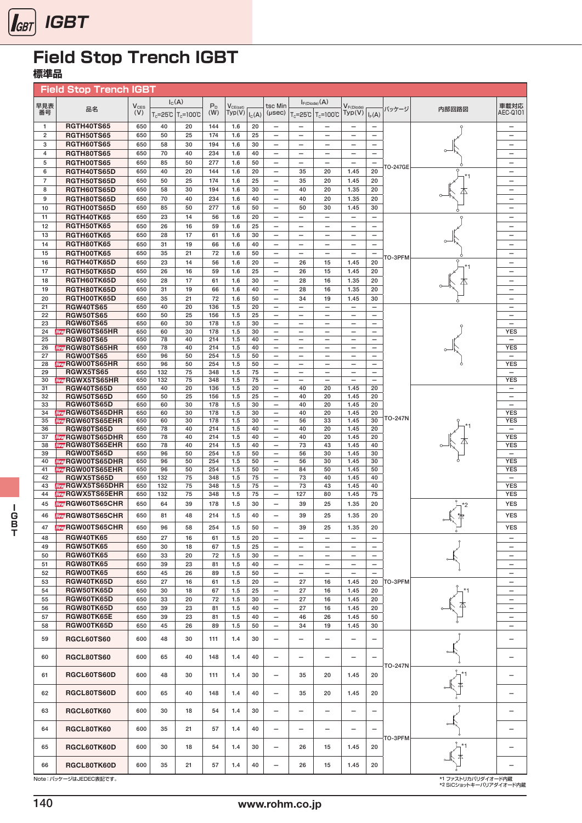

## **標準品**

|                     | <b>Field Stop Trench IGBT</b>                        |            |            |                                          |            |                         |          |                                                      |                                   |                                          |                                                      |                                                      |                |         |                                                      |
|---------------------|------------------------------------------------------|------------|------------|------------------------------------------|------------|-------------------------|----------|------------------------------------------------------|-----------------------------------|------------------------------------------|------------------------------------------------------|------------------------------------------------------|----------------|---------|------------------------------------------------------|
| 早見表                 |                                                      | $V_{CES}$  |            | $I_{C}(A)$                               | $P_{D}$    |                         |          | tsc Min                                              |                                   | $I_{F(Diode)}(A)$                        |                                                      |                                                      |                |         | 車載対応                                                 |
| 番号                  | 品名                                                   | (V)        |            | $T_c = 25^{\circ}C$ $T_c = 100^{\circ}C$ | (W)        | $V_{CE(sat)}$<br>Typ(V) | $I_C(A)$ | (µsec)                                               |                                   | $T_c = 25^{\circ}C$ $T_c = 100^{\circ}C$ | $V_{F(Diode)}$<br>Typ(V)                             | $I_F(A)$                                             | パッケージ          | 内部回路図   | AEC-Q101                                             |
| 1                   | <b>RGTH40TS65</b>                                    | 650        | 40         | 20                                       | 144        | 1.6                     | 20       |                                                      |                                   |                                          | $\overline{\phantom{0}}$                             | $\overline{\phantom{0}}$                             |                |         | -                                                    |
| $\overline{2}$      | <b>RGTH50TS65</b>                                    | 650        | 50         | 25                                       | 174        | 1.6                     | 25       |                                                      | $\overline{\phantom{0}}$          | $\overline{\phantom{0}}$                 | $\overline{\phantom{0}}$                             |                                                      |                |         | $\overline{\phantom{0}}$                             |
| 3                   | RGTH60TS65                                           | 650        | 58         | 30                                       | 194        | 1.6                     | 30       |                                                      | $\overline{\phantom{0}}$          | $\overline{\phantom{0}}$                 | $\overline{\phantom{0}}$                             | $\overline{\phantom{0}}$                             |                |         | $\overline{\phantom{0}}$                             |
| $\overline{4}$      | <b>RGTH80TS65</b>                                    | 650        | 70         | 40                                       | 234        | 1.6                     | 40       | $\overline{\phantom{0}}$                             | $\overline{\phantom{0}}$          | $\overline{\phantom{0}}$                 | $\overline{\phantom{0}}$                             | $\overline{\phantom{0}}$                             |                |         | $\overline{\phantom{0}}$                             |
| 5                   | RGTH00TS65                                           | 650        | 85         | 50                                       | 277        | 1.6                     | 50       | $\qquad \qquad -$                                    |                                   | $\overline{\phantom{0}}$                 | $\overline{\phantom{0}}$                             | —                                                    | TO-247GE       |         | -                                                    |
| 6<br>$\overline{7}$ | RGTH40TS65D<br>RGTH50TS65D                           | 650<br>650 | 40<br>50   | 20<br>25                                 | 144<br>174 | 1.6<br>1.6              | 20<br>25 | $\overline{\phantom{0}}$<br>$\qquad \qquad -$        | 35<br>35                          | 20<br>20                                 | 1.45<br>1.45                                         | 20<br>20                                             |                |         | $\overline{\phantom{0}}$<br>$\overline{\phantom{0}}$ |
| 8                   | RGTH60TS65D                                          | 650        | 58         | 30                                       | 194        | 1.6                     | 30       | $\qquad \qquad -$                                    | 40                                | 20                                       | 1.35                                                 | 20                                                   |                |         | $\overline{\phantom{0}}$                             |
| 9                   | RGTH80TS65D                                          | 650        | 70         | 40                                       | 234        | 1.6                     | 40       | $\overline{\phantom{0}}$                             | 40                                | 20                                       | 1.35                                                 | 20                                                   |                |         | $\overline{\phantom{0}}$                             |
| 10                  | RGTH00TS65D                                          | 650        | 85         | 50                                       | 277        | 1.6                     | 50       | $\overline{\phantom{0}}$                             | 50                                | 30                                       | 1.45                                                 | 30                                                   |                |         | $\overline{\phantom{0}}$                             |
| 11                  | RGTH40TK65                                           | 650        | 23         | 14                                       | 56         | 1.6                     | 20       | $\qquad \qquad -$                                    | $\qquad \qquad -$                 | $\qquad \qquad -$                        | $\qquad \qquad -$                                    | $\overline{\phantom{0}}$                             |                |         | $\overline{\phantom{0}}$                             |
| 12<br>13            | RGTH50TK65<br>RGTH60TK65                             | 650<br>650 | 26<br>28   | 16<br>17                                 | 59<br>61   | 1.6<br>1.6              | 25<br>30 | $\qquad \qquad -$<br>$\overline{\phantom{0}}$        |                                   | $\overline{\phantom{0}}$                 | $\overline{\phantom{0}}$<br>$\overline{\phantom{0}}$ | $\overline{\phantom{0}}$                             |                |         | $\overline{\phantom{0}}$<br>$\overline{\phantom{0}}$ |
| 14                  | RGTH80TK65                                           | 650        | 31         | 19                                       | 66         | 1.6                     | 40       |                                                      | $\overline{\phantom{0}}$          |                                          |                                                      |                                                      |                | $\circ$ | $\overline{\phantom{0}}$                             |
| 15                  | RGTH00TK65                                           | 650        | 35         | 21                                       | 72         | 1.6                     | 50       | $\overline{\phantom{0}}$                             | $\overline{\phantom{0}}$          | $\overline{\phantom{0}}$                 | $\overline{\phantom{0}}$                             | $\overline{\phantom{0}}$                             |                |         | $\overline{\phantom{0}}$                             |
| 16                  | RGTH40TK65D                                          | 650        | 23         | 14                                       | 56         | 1.6                     | 20       | $\qquad \qquad -$                                    | 26                                | 15                                       | 1.45                                                 | 20                                                   | TO-3PFM        |         | $\overline{\phantom{0}}$                             |
| 17                  | RGTH50TK65D                                          | 650        | 26         | 16                                       | 59         | 1.6                     | 25       | $\overline{\phantom{0}}$                             | 26                                | 15                                       | 1.45                                                 | 20                                                   |                |         | -                                                    |
| 18                  | RGTH60TK65D                                          | 650        | 28         | 17                                       | 61         | 1.6                     | 30       | $\qquad \qquad -$                                    | 28                                | 16                                       | 1.35                                                 | 20                                                   |                |         | $\overline{\phantom{m}}$                             |
| 19<br>20            | RGTH80TK65D<br>RGTH00TK65D                           | 650<br>650 | 31<br>35   | 19<br>21                                 | 66<br>72   | 1.6<br>1.6              | 40<br>50 | $\overline{\phantom{0}}$<br>$\overline{\phantom{0}}$ | 28<br>34                          | 16<br>19                                 | 1.35<br>1.45                                         | 20<br>30                                             |                |         | $\qquad \qquad$<br>$\overline{\phantom{0}}$          |
| 21                  | <b>RGW40TS65</b>                                     | 650        | 40         | 20                                       | 136        | 1.5                     | 20       | $\overline{\phantom{0}}$                             |                                   | $\overline{\phantom{0}}$                 | $\overline{\phantom{0}}$                             | $\overline{\phantom{0}}$                             |                |         | $\overline{\phantom{0}}$                             |
| 22                  | <b>RGW50TS65</b>                                     | 650        | 50         | 25                                       | 156        | 1.5                     | 25       | $\qquad \qquad -$                                    | -                                 | $\overline{\phantom{0}}$                 | $\overline{\phantom{0}}$                             | —                                                    |                |         | —                                                    |
| 23<br>24            | <b>RGW60TS65</b><br><b>Maty RGW60TS65HR</b>          | 650<br>650 | 60<br>60   | 30<br>30                                 | 178<br>178 | 1.5<br>1.5              | 30<br>30 | $\qquad \qquad -$                                    | $\overbrace{\phantom{123221111}}$ | $\overline{\phantom{0}}$                 | $\qquad \qquad -$                                    | $\overline{\phantom{0}}$<br>$\overline{\phantom{0}}$ |                |         | $\overline{\phantom{0}}$<br><b>YES</b>               |
| 25                  | <b>RGW80TS65</b>                                     | 650        | 78         | 40                                       | 214        | 1.5                     | 40       | $\qquad \qquad -$                                    | $\overline{\phantom{m}}$          | $\overline{\phantom{m}}$                 | $\overline{\phantom{m}}$                             | $\overline{\phantom{0}}$                             |                |         | $\overline{\phantom{0}}$                             |
| 26                  | <b>Mety RGW80TS65HR</b>                              | 650        | 78         | 40                                       | 214        | 1.5                     | 40       | $\overline{\phantom{0}}$                             |                                   | $\overbrace{\phantom{123221111}}$        | $\overline{\phantom{0}}$                             | $\overline{\phantom{0}}$                             |                |         | <b>YES</b>                                           |
| 27<br>28            | <b>RGW00TS65</b><br><b>Mety RGW00TS65HR</b>          | 650<br>650 | 96<br>96   | 50<br>50                                 | 254<br>254 | 1.5<br>1.5              | 50<br>50 | $\qquad \qquad -$<br>$\qquad \qquad -$               | $\overline{\phantom{0}}$          | $\overline{\phantom{0}}$                 |                                                      | $\overline{\phantom{0}}$<br>$\overline{\phantom{0}}$ |                |         | $\overline{\phantom{0}}$<br><b>YES</b>               |
| 29                  | <b>RGWX5TS65</b>                                     | 650        | 132        | 75                                       | 348        | 1.5                     | 75       | $\overline{\phantom{0}}$                             | $\overline{\phantom{0}}$          | $\overline{\phantom{0}}$                 | $\overline{\phantom{0}}$                             | $\overline{\phantom{0}}$                             |                |         | $\qquad \qquad -$                                    |
| 30                  | <b>Meny RGWX5TS65HR</b>                              | 650        | 132        | 75                                       | 348        | 1.5                     | 75       | $\qquad \qquad -$                                    |                                   | $\overbrace{\phantom{123221111}}$        | $\overline{\phantom{0}}$                             |                                                      |                |         | YES                                                  |
| 31<br>32            | <b>RGW40TS65D</b><br><b>RGW50TS65D</b>               | 650<br>650 | 40<br>50   | 20<br>25                                 | 136<br>156 | 1.5<br>1.5              | 20<br>25 |                                                      | 40<br>40                          | 20<br>20                                 | 1.45<br>1.45                                         | 20<br>20                                             |                |         | $\overline{\phantom{0}}$                             |
| 33                  | <b>RGW60TS65D</b>                                    | 650        | 60         | 30                                       | 178        | 1.5                     | 30       | $\overline{\phantom{0}}$                             | 40                                | 20                                       | 1.45                                                 | 20                                                   |                |         | $\overline{\phantom{0}}$                             |
| 34                  | <b>New RGW60TS65DHR</b>                              | 650        | 60         | 30                                       | 178        | 1.5                     | 30       | $\overline{\phantom{0}}$                             | 40                                | 20                                       | 1.45                                                 | 20                                                   | TO-247N        |         | <b>YES</b>                                           |
| 35<br>36            | <b>Mety RGW60TS65EHR</b><br><b>RGW80TS65D</b>        | 650<br>650 | 60<br>78   | 30<br>40                                 | 178<br>214 | 1.5<br>1.5              | 30<br>40 | $\qquad \qquad -$<br>$\overline{\phantom{0}}$        | 56<br>40                          | 33<br>20                                 | 1.45<br>1.45                                         | 30<br>20                                             |                |         | <b>YES</b><br>$\overline{\phantom{0}}$               |
| 37                  | <b>MANY RGW80TS65DHR</b>                             | 650        | 78         | 40                                       | 214        | 1.5                     | 40       | $\qquad \qquad -$                                    | 40                                | 20                                       | 1.45                                                 | 20                                                   |                |         | <b>YES</b>                                           |
| 38                  | <b>New RGW80TS65EHR</b>                              | 650        | 78         | 40                                       | 214        | 1.5                     | 40       | $\qquad \qquad -$                                    | 73                                | 43                                       | 1.45                                                 | 40                                                   |                |         | <b>YES</b>                                           |
| 39<br>40            | RGW00TS65D<br><b>New RGW00TS65DHR</b>                | 650<br>650 | 96<br>96   | 50<br>50                                 | 254<br>254 | 1.5<br>1.5              | 50<br>50 | $\qquad \qquad -$<br>$\qquad \qquad -$               | 56<br>56                          | 30<br>30                                 | 1.45<br>1.45                                         | 30<br>30                                             |                |         | $\qquad \qquad -$<br><b>YES</b>                      |
| 41                  | <b>Mety RGW00TS65EHR</b>                             | 650        | 96         | 50                                       | 254        | 1.5                     | 50       | $\qquad \qquad -$                                    | 84                                | 50                                       | 1.45                                                 | 50                                                   |                |         | <b>YES</b>                                           |
| 42                  | RGWX5TS65D                                           | 650        | 132        | 75                                       | 348        | 1.5                     | 75       | $\overline{\phantom{0}}$                             | 73                                | 40                                       | 1.45                                                 | 40                                                   |                |         | $\overline{\phantom{0}}$                             |
| 43<br>44            | <b>Meny RGWX5TS65DHR</b><br><b>Mety RGWX5TS65EHR</b> | 650<br>650 | 132<br>132 | 75<br>75                                 | 348<br>348 | 1.5<br>1.5              | 75<br>75 | $\overline{\phantom{0}}$<br>$\overline{\phantom{0}}$ | 73<br>127                         | 43<br>80                                 | 1.45<br>1.45                                         | 40<br>75                                             |                |         | <b>YES</b><br><b>YES</b>                             |
| 45                  | <b>Mety</b> RGW60TS65CHR                             | 650        | 64         | 39                                       | 178        | 1.5                     | 30       | $\overline{\phantom{0}}$                             | 39                                | 25                                       | 1.35                                                 | 20                                                   |                | *2      | <b>YES</b>                                           |
| 46                  | <b>Mety RGW80TS65CHR</b>                             | 650        | 81         | 48                                       | 214        | 1.5                     | 40       |                                                      | 39                                | 25                                       | 1.35                                                 | 20                                                   |                |         | <b>YES</b>                                           |
| 47                  | <b>Mety RGW00TS65CHR</b>                             | 650        | 96         | 58                                       | 254        | 1.5                     | 50       | $\overline{\phantom{0}}$                             | 39                                | 25                                       | 1.35                                                 | 20                                                   |                |         | <b>YES</b>                                           |
| 48                  | <b>RGW40TK65</b>                                     | 650        | 27         | 16                                       | 61         | 1.5                     | 20       | $\overline{\phantom{0}}$                             |                                   | $\qquad \qquad -$                        | $\qquad \qquad -$                                    | $\overline{\phantom{0}}$                             |                |         | $\overline{\phantom{0}}$                             |
| 49                  | <b>RGW50TK65</b>                                     | 650        | 30         | 18                                       | 67         | 1.5                     | 25       | $\overline{\phantom{0}}$                             |                                   | $\qquad \qquad -$                        | $\qquad \qquad -$                                    | —                                                    |                |         | —                                                    |
| 50                  | <b>RGW60TK65</b>                                     | 650        | 33         | 20                                       | 72         | 1.5                     | 30       | $\qquad \qquad -$                                    |                                   | $\overline{\phantom{0}}$                 | $\overline{\phantom{0}}$                             | $\overline{\phantom{0}}$                             |                |         | —                                                    |
| 51                  | <b>RGW80TK65</b>                                     | 650        | 39         | 23                                       | 81         | 1.5                     | 40       | $\qquad \qquad -$                                    |                                   | $\overline{\phantom{0}}$                 | $\overline{\phantom{0}}$                             | $\overline{\phantom{0}}$                             |                |         |                                                      |
| 52<br>53            | RGW00TK65<br>RGW40TK65D                              | 650<br>650 | 45<br>27   | 26<br>16                                 | 89<br>61   | 1.5<br>1.5              | 50<br>20 | $\qquad \qquad -$                                    | 27                                | $\qquad \qquad -$<br>16                  | 1.45                                                 | $\overbrace{\phantom{12322111}}$<br>20               | TO-3PFM        |         | —<br>$\overline{\phantom{0}}$                        |
| 54                  | RGW50TK65D                                           | 650        | 30         | 18                                       | 67         | 1.5                     | 25       | $\qquad \qquad -$                                    | 27                                | 16                                       | 1.45                                                 | 20                                                   |                |         | $\overline{\phantom{0}}$                             |
| 55                  | RGW60TK65D                                           | 650        | 33         | 20                                       | 72         | 1.5                     | 30       | $\qquad \qquad -$                                    | 27                                | 16                                       | 1.45                                                 | 20                                                   |                |         | $\overline{\phantom{0}}$                             |
| 56                  | RGW80TK65D                                           | 650        | 39         | 23                                       | 81         | 1.5                     | 40       | $\qquad \qquad -$                                    | 27                                | 16                                       | 1.45                                                 | 20                                                   |                |         | $\overline{\phantom{0}}$                             |
| 57                  | RGW80TK65E                                           | 650        | 39         | 23                                       | 81         | 1.5                     | 40       |                                                      | 46                                | 26                                       | 1.45                                                 | 50                                                   |                |         | $\overline{\phantom{0}}$                             |
| 58                  | RGW00TK65D                                           | 650        | 45         | 26                                       | 89         | 1.5                     | 50       | $\qquad \qquad -$                                    | 34                                | 19                                       | 1.45                                                 | 30                                                   |                |         | —                                                    |
| 59                  | RGCL60TS60                                           | 600        | 48         | 30                                       | 111        | 1.4                     | 30       | $\overline{\phantom{0}}$                             | $\overline{\phantom{0}}$          | $\overline{\phantom{0}}$                 | $\overline{\phantom{0}}$                             | $\overline{\phantom{0}}$                             |                |         | $\overline{\phantom{0}}$                             |
| 60                  | <b>RGCL80TS60</b>                                    | 600        | 65         | 40                                       | 148        | 1.4                     | 40       |                                                      |                                   |                                          |                                                      | $\overline{\phantom{0}}$                             |                |         | $\overline{\phantom{0}}$                             |
|                     |                                                      |            |            |                                          |            |                         |          |                                                      |                                   |                                          |                                                      |                                                      | <b>TO-247N</b> |         |                                                      |
| 61                  | RGCL60TS60D                                          | 600        | 48         | 30                                       | 111        | 1.4                     | 30       |                                                      | 35                                | 20                                       | 1.45                                                 | 20                                                   |                |         | $\overline{\phantom{0}}$                             |
|                     |                                                      |            |            |                                          |            |                         |          |                                                      |                                   |                                          |                                                      |                                                      |                |         |                                                      |
| 62                  | RGCL80TS60D                                          | 600        | 65         | 40                                       | 148        | 1.4                     | 40       |                                                      | 35                                | 20                                       | 1.45                                                 | 20                                                   |                |         | —                                                    |
| 63                  | RGCL60TK60                                           | 600        | 30         | 18                                       | 54         | 1.4                     | 30       |                                                      | -                                 | $\overline{\phantom{0}}$                 |                                                      |                                                      |                |         |                                                      |
|                     |                                                      |            |            |                                          |            |                         |          |                                                      |                                   |                                          |                                                      |                                                      |                |         |                                                      |
| 64                  | RGCL80TK60                                           | 600        | 35         | 21                                       | 57         | 1.4                     | 40       |                                                      | $\overline{\phantom{0}}$          |                                          | $\overline{\phantom{0}}$                             |                                                      |                |         |                                                      |
|                     |                                                      |            |            |                                          |            |                         |          |                                                      |                                   |                                          |                                                      |                                                      | TO-3PFM        |         |                                                      |
| 65                  | RGCL60TK60D                                          | 600        | 30         | 18                                       | 54         | 1.4                     | 30       |                                                      | 26                                | 15                                       | 1.45                                                 | 20                                                   |                |         |                                                      |
| 66                  | RGCL80TK60D                                          | 600        | 35         | 21                                       | 57         | 1.4                     | 40       | $\overline{\phantom{0}}$                             | 26                                | 15                                       | 1.45                                                 | 20                                                   |                |         |                                                      |
|                     |                                                      |            |            |                                          |            |                         |          |                                                      |                                   |                                          |                                                      |                                                      |                |         |                                                      |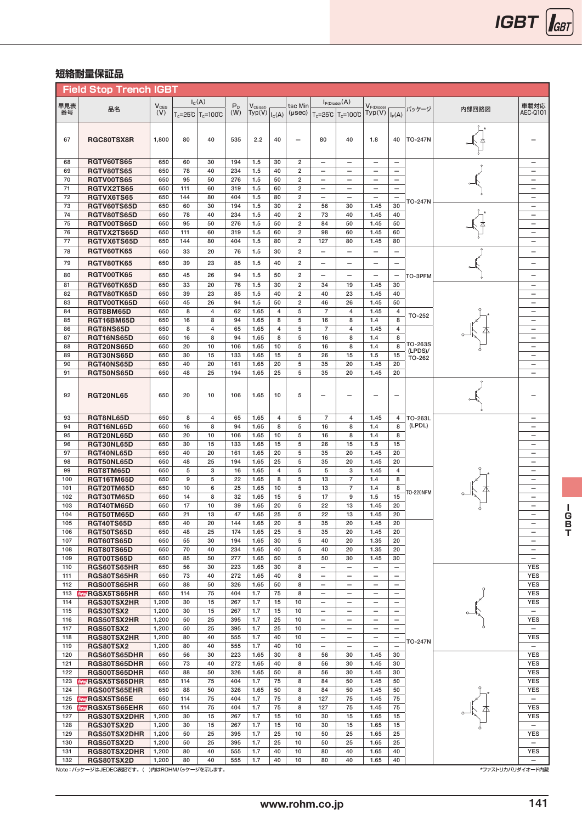## **短絡耐量保証品**

|            | <b>Field Stop Trench IGBT</b>    |                  |           |                                            |            |                         |            |                                                    |                                                      |                                                      |                                                               |                                                      |                       |       |                                                      |
|------------|----------------------------------|------------------|-----------|--------------------------------------------|------------|-------------------------|------------|----------------------------------------------------|------------------------------------------------------|------------------------------------------------------|---------------------------------------------------------------|------------------------------------------------------|-----------------------|-------|------------------------------------------------------|
| 早見表        |                                  |                  |           | $I_{C}(A)$                                 | $P_{D}$    |                         |            | tsc Min                                            |                                                      | $I_{F(Diode)}(A)$                                    |                                                               |                                                      |                       |       | 車載対応                                                 |
| 番号         | 品名                               | $V_{CES}$<br>(V) |           | T <sub>c</sub> =25℃   T <sub>c</sub> =100℃ | (W)        | $V_{CE(sat)}$<br>Typ(V) | $I_{C}(A)$ | $(\mu$ sec $)$                                     |                                                      | T <sub>c</sub> =25°C   T <sub>c</sub> =100°C         | $V_{F(\text{Diode})}$<br>Typ(V)                               | $I_F(A)$                                             | パッケージ                 | 内部回路図 | AEC-0101                                             |
|            |                                  |                  |           |                                            |            |                         |            |                                                    |                                                      |                                                      |                                                               |                                                      |                       |       |                                                      |
|            |                                  |                  |           |                                            |            |                         |            |                                                    |                                                      |                                                      |                                                               |                                                      |                       |       |                                                      |
| 67         | RGC80TSX8R                       | 1,800            | 80        | 40                                         | 535        | 2.2                     | 40         | $\overline{\phantom{0}}$                           | 80                                                   | 40                                                   | 1.8                                                           | 40                                                   | <b>TO-247N</b>        |       |                                                      |
|            |                                  |                  |           |                                            |            |                         |            |                                                    |                                                      |                                                      |                                                               |                                                      |                       |       |                                                      |
| 68         | <b>RGTV60TS65</b>                | 650              | 60        | 30                                         | 194        | 1.5                     | 30         | $\overline{\mathbf{c}}$                            |                                                      |                                                      |                                                               | $\overline{\phantom{0}}$                             |                       |       | $\overline{\phantom{0}}$                             |
| 69         | <b>RGTV80TS65</b>                | 650              | 78        | 40                                         | 234        | 1.5                     | 40         | $\overline{\mathbf{2}}$                            | $\overline{\phantom{0}}$                             | $\overline{\phantom{0}}$                             | $\qquad \qquad -$                                             | $\overline{\phantom{0}}$                             |                       |       | $\overline{\phantom{0}}$                             |
| 70<br>71   | RGTV00TS65<br>RGTVX2TS65         | 650<br>650       | 95<br>111 | 50<br>60                                   | 276<br>319 | 1.5<br>1.5              | 50<br>60   | $\overline{\mathbf{2}}$<br>$\overline{\mathbf{2}}$ | $\overline{\phantom{0}}$                             | $\overline{\phantom{0}}$<br>$\overline{\phantom{0}}$ | $\overline{\phantom{0}}$<br>$\overline{\phantom{0}}$          | $\overline{\phantom{0}}$<br>$\overline{\phantom{0}}$ |                       |       | $\overline{\phantom{0}}$<br>$\overline{\phantom{0}}$ |
| 72         | RGTVX6TS65                       | 650              | 144       | 80                                         | 404        | 1.5                     | 80         | $\overline{\mathbf{2}}$                            |                                                      | $\overline{\phantom{0}}$                             | $\overline{\phantom{0}}$                                      | $\overline{\phantom{0}}$                             |                       |       | —                                                    |
| 73         | RGTV60TS65D                      | 650              | 60        | 30                                         | 194        | 1.5                     | 30         | $\overline{\mathbf{2}}$                            | 56                                                   | 30                                                   | 1.45                                                          | 30                                                   | TO-247N               |       | $\overline{\phantom{0}}$                             |
| 74         | RGTV80TS65D                      | 650              | 78        | 40                                         | 234        | 1.5                     | 40         | $\overline{\mathbf{2}}$                            | 73                                                   | 40                                                   | 1.45                                                          | 40                                                   |                       |       | $\overline{\phantom{0}}$                             |
| 75         | RGTV00TS65D                      | 650              | 95        | 50                                         | 276        | 1.5                     | 50         | $\overline{\mathbf{2}}$                            | 84                                                   | 50                                                   | 1.45                                                          | 50                                                   |                       |       | $\overline{\phantom{0}}$                             |
| 76         | RGTVX2TS65D                      | 650              | 111       | 60                                         | 319        | 1.5                     | 60         | $\overline{\mathbf{2}}$                            | 98                                                   | 60                                                   | 1.45                                                          | 60                                                   |                       |       | $\overline{\phantom{0}}$                             |
| 77         | RGTVX6TS65D                      | 650              | 144       | 80                                         | 404        | 1.5                     | 80         | $\overline{\mathbf{2}}$                            | 127                                                  | 80                                                   | 1.45                                                          | 80                                                   |                       |       |                                                      |
| 78         | RGTV60TK65                       | 650              | 33        | 20                                         | 76         | 1.5                     | 30         | $\overline{2}$                                     | $\overline{\phantom{0}}$                             | $\overline{\phantom{0}}$                             | $\overline{\phantom{0}}$                                      | $\overline{\phantom{0}}$                             |                       |       | —                                                    |
| 79         | <b>RGTV80TK65</b>                | 650              | 39        | 23                                         | 85         | 1.5                     | 40         | $\overline{2}$                                     | $\overline{\phantom{0}}$                             | $\overline{\phantom{0}}$                             | $\overline{\phantom{0}}$                                      | $\overline{\phantom{0}}$                             |                       |       | $\overline{\phantom{0}}$                             |
| 80         | RGTV00TK65                       | 650              | 45        | 26                                         | 94         | 1.5                     | 50         | $\overline{2}$                                     | $\overline{\phantom{0}}$                             | $\overline{\phantom{0}}$                             | $\overline{\phantom{0}}$                                      | $\qquad \qquad -$                                    | TO-3PFM               |       | -                                                    |
| 81         | RGTV60TK65D                      | 650              | 33        | 20                                         | 76         | 1.5                     | 30         | $\overline{2}$                                     | 34                                                   | 19                                                   | 1.45                                                          | 30                                                   |                       |       | $\overline{\phantom{0}}$                             |
| 82         | RGTV80TK65D                      | 650              | 39        | 23                                         | 85         | 1.5                     | 40         | $\overline{\mathbf{2}}$                            | 40                                                   | 23                                                   | 1.45                                                          | 40                                                   |                       |       | $\overline{\phantom{0}}$                             |
| 83<br>84   | RGTV00TK65D<br>RGT8BM65D         | 650<br>650       | 45<br>8   | 26<br>$\overline{4}$                       | 94<br>62   | 1.5<br>1.65             | 50<br>4    | $\overline{\mathbf{2}}$<br>5                       | 46<br>$\overline{7}$                                 | 26<br>$\overline{4}$                                 | 1.45<br>1.45                                                  | 50<br>4                                              |                       |       | $\overline{\phantom{0}}$<br>$\overline{\phantom{0}}$ |
| 85         | RGT16BM65D                       | 650              | 16        | 8                                          | 94         | 1.65                    | 8          | 5                                                  | 16                                                   | 8                                                    | 1.4                                                           | 8                                                    | TO-252                |       | $\overline{\phantom{0}}$                             |
| 86         | RGT8NS65D                        | 650              | 8         | 4                                          | 65         | 1.65                    | 4          | 5                                                  | $\overline{7}$                                       | $\overline{4}$                                       | 1.45                                                          | 4                                                    |                       |       | $\overline{\phantom{0}}$                             |
| 87         | RGT16NS65D                       | 650              | 16        | 8                                          | 94         | 1.65                    | 8          | 5                                                  | 16                                                   | 8                                                    | 1.4                                                           | 8                                                    |                       |       | $\overline{\phantom{0}}$                             |
| 88         | RGT20NS65D                       | 650              | 20        | 10                                         | 106        | 1.65                    | 10         | 5                                                  | 16                                                   | 8                                                    | 1.4                                                           | 8                                                    | TO-263S<br>$(LPDS)$ / |       | $\overline{\phantom{0}}$                             |
| 89         | RGT30NS65D                       | 650              | 30        | 15                                         | 133        | 1.65                    | 15         | 5                                                  | 26                                                   | 15                                                   | 1.5                                                           | 15                                                   | TO-262                |       | —                                                    |
| 90         | RGT40NS65D                       | 650              | 40        | 20                                         | 161        | 1.65                    | 20         | 5                                                  | 35                                                   | 20                                                   | 1.45                                                          | 20                                                   |                       |       | $\overline{\phantom{0}}$                             |
| 91         | RGT50NS65D                       | 650              | 48        | 25                                         | 194        | 1.65                    | 25         | 5                                                  | 35                                                   | 20                                                   | 1.45                                                          | 20                                                   |                       |       | $\overline{\phantom{0}}$                             |
|            |                                  |                  |           |                                            |            |                         |            |                                                    |                                                      |                                                      |                                                               |                                                      |                       |       |                                                      |
| 92         | <b>RGT20NL65</b>                 | 650              | 20        | 10                                         | 106        | 1.65                    | 10         | 5                                                  | $\overline{\phantom{0}}$                             | $\overline{\phantom{0}}$                             | $\overline{\phantom{0}}$                                      | $\overline{\phantom{0}}$                             |                       |       |                                                      |
|            |                                  |                  |           |                                            |            |                         |            |                                                    |                                                      |                                                      |                                                               |                                                      |                       |       |                                                      |
| 93         | RGT8NL65D                        | 650              | 8         | 4                                          | 65         | 1.65                    | 4          | 5                                                  | $\overline{7}$                                       | $\overline{4}$                                       | 1.45                                                          | 4                                                    | TO-263L               |       | $\overline{\phantom{0}}$                             |
| 94         | RGT16NL65D                       | 650              | 16        | 8                                          | 94         | 1.65                    | 8          | 5                                                  | 16                                                   | 8                                                    | 1.4                                                           | 8                                                    | (LPDL)                |       | $\overline{\phantom{0}}$                             |
| 95         | RGT20NL65D                       | 650              | 20        | 10                                         | 106        | 1.65                    | 10         | 5                                                  | 16                                                   | 8                                                    | 1.4                                                           | 8                                                    |                       |       | $\overline{\phantom{0}}$                             |
| 96<br>97   | RGT30NL65D<br>RGT40NL65D         | 650<br>650       | 30<br>40  | 15<br>20                                   | 133<br>161 | 1.65<br>1.65            | 15<br>20   | 5<br>5                                             | 26<br>35                                             | 15<br>20                                             | 1.5<br>1.45                                                   | 15<br>20                                             |                       |       | $\overline{\phantom{0}}$<br>$\overline{\phantom{m}}$ |
| 98         | RGT50NL65D                       | 650              | 48        | 25                                         | 194        | 1.65                    | 25         | 5                                                  | 35                                                   | 20                                                   | 1.45                                                          | 20                                                   |                       |       | $\overline{\phantom{m}}$                             |
| 99         | RGT8TM65D                        | 650              | 5         | 3                                          | 16         | 1.65                    | 4          | 5                                                  | 5                                                    | 3                                                    | 1.45                                                          | 4                                                    |                       |       | $\overline{\phantom{0}}$                             |
| 100        | RGT16TM65D                       | 650              | 9         | 5                                          | 22         | 1.65                    | 8          | 5                                                  | 13                                                   | $\overline{7}$                                       | 1.4                                                           | 8                                                    |                       |       |                                                      |
| 101        | RGT20TM65D                       | 650              | 10        | 6                                          | 25         | 1.65                    | 10         | 5                                                  | 13                                                   | $\overline{7}$                                       | 1.4                                                           | 8                                                    | <b>TO-220NFM</b>      |       | $\overline{\phantom{0}}$                             |
| 102        | RGT30TM65D                       | 650              | 14        | 8                                          | 32         | 1.65                    | 15         | 5                                                  | 17                                                   | 9                                                    | 1.5                                                           | 15                                                   |                       |       |                                                      |
| 103<br>104 | RGT40TM65D                       | 650<br>650       | 17<br>21  | 10<br>13                                   | 39<br>47   | 1.65<br>1.65            | 20<br>25   | 5<br>5                                             | 22<br>22                                             | 13<br>13                                             | 1.45<br>1.45                                                  | 20<br>20                                             |                       |       | $\overline{\phantom{m}}$                             |
| 105        | RGT50TM65D<br>RGT40TS65D         | 650              | 40        | 20                                         | 144        | 1.65                    | 20         | 5                                                  | 35                                                   | 20                                                   | 1.45                                                          | 20                                                   |                       |       | $\overline{\phantom{m}}$                             |
| 106        | RGT50TS65D                       | 650              | 48        | 25                                         | 174        | 1.65                    | 25         | 5                                                  | 35                                                   | 20                                                   | 1.45                                                          | 20                                                   |                       |       |                                                      |
| 107        | <b>RGT60TS65D</b>                | 650              | 55        | 30                                         | 194        | 1.65                    | 30         | 5                                                  | 40                                                   | 20                                                   | 1.35                                                          | 20                                                   |                       |       | $\overline{\phantom{a}}$                             |
| 108        | <b>RGT80TS65D</b>                | 650              | 70        | 40                                         | 234        | 1.65                    | 40         | 5                                                  | 40                                                   | 20                                                   | 1.35                                                          | 20                                                   |                       |       | $\overline{\phantom{m}}$                             |
| 109        | RGT00TS65D                       | 650              | 85        | 50                                         | 277        | 1.65                    | 50         | 5                                                  | 50                                                   | 30                                                   | 1.45                                                          | 30                                                   |                       |       | $\overline{\phantom{0}}$                             |
| 110        | RGS60TS65HR                      | 650              | 56        | 30                                         | 223        | 1.65                    | 30         | 8                                                  | $\overline{\phantom{0}}$                             | $\overline{\phantom{0}}$                             | $\overbrace{\phantom{123221111}}$                             | $\overline{\phantom{m}}$                             |                       |       | <b>YES</b>                                           |
| 111<br>112 | RGS80TS65HR<br>RGS00TS65HR       | 650<br>650       | 73<br>88  | 40<br>50                                   | 272<br>326 | 1.65<br>1.65            | 40<br>50   | 8<br>8                                             | $\overline{\phantom{m}}$<br>$\overline{\phantom{0}}$ | $\overline{\phantom{m}}$<br>$\overline{\phantom{m}}$ | $\overline{\phantom{m}}$<br>$\overbrace{\phantom{123221111}}$ | $\overline{\phantom{m}}$<br>$\qquad \qquad -$        |                       |       | <b>YES</b><br><b>YES</b>                             |
| 113        | <b>Mety RGSX5TS65HR</b>          | 650              | 114       | 75                                         | 404        | 1.7                     | 75         | 8                                                  | $\overline{\phantom{0}}$                             | $\overline{\phantom{0}}$                             | $\overbrace{\phantom{123221111}}$                             | $\overline{\phantom{m}}$                             |                       |       | <b>YES</b>                                           |
| 114        | RGS30TSX2HR                      | 1,200            | 30        | 15                                         | 267        | 1.7                     | 15         | 10                                                 | $\overline{\phantom{m}}$                             | $\overline{\phantom{0}}$                             | $\overbrace{\phantom{123221111}}$                             | $\qquad \qquad -$                                    |                       |       | <b>YES</b>                                           |
| 115        | RGS30TSX2                        | 1,200            | 30        | 15                                         | 267        | 1.7                     | 15         | 10                                                 | $\overline{\phantom{m}}$                             | $\overline{\phantom{m}}$                             | $\overline{\phantom{m}}$                                      | $\overline{\phantom{m}}$                             |                       |       | $\overline{\phantom{a}}$                             |
| 116        | RGS50TSX2HR                      | 1,200            | 50        | 25                                         | 395        | 1.7                     | 25         | 10                                                 | $\overline{\phantom{0}}$                             | $\overline{\phantom{m}}$                             |                                                               | $\qquad \qquad -$                                    |                       |       | <b>YES</b>                                           |
| 117        | RGS50TSX2                        | 1,200            | 50        | 25                                         | 395        | 1.7                     | 25         | 10                                                 | $\overline{\phantom{0}}$                             | $\overline{\phantom{0}}$                             | $\overline{\phantom{0}}$                                      | $\overline{\phantom{m}}$                             |                       |       | $\overline{\phantom{m}}$                             |
| 118        | RGS80TSX2HR                      | 1,200            | 80        | 40                                         | 555        | 1.7                     | 40         | 10                                                 | $\overline{\phantom{0}}$                             | $\overline{\phantom{0}}$                             | $\overline{\phantom{0}}$                                      | $\overline{\phantom{a}}$                             | <b>TO-247N</b>        |       | <b>YES</b>                                           |
| 119<br>120 | <b>RGS80TSX2</b><br>RGS60TS65DHR | 1,200<br>650     | 80<br>56  | 40<br>30                                   | 555<br>223 | 1.7<br>1.65             | 40<br>30   | 10<br>8                                            | $\qquad \qquad -$<br>56                              | $\overline{\phantom{0}}$<br>30                       | $\overline{\phantom{0}}$<br>1.45                              | $\overline{\phantom{m}}$<br>30                       |                       |       | $\overline{\phantom{0}}$<br><b>YES</b>               |
| 121        | RGS80TS65DHR                     | 650              | 73        | 40                                         | 272        | 1.65                    | 40         | 8                                                  | 56                                                   | 30                                                   | 1.45                                                          | 30                                                   |                       |       | <b>YES</b>                                           |
| 122        | RGS00TS65DHR                     | 650              | 88        | 50                                         | 326        | 1.65                    | 50         | 8                                                  | 56                                                   | 30                                                   | 1.45                                                          | 30                                                   |                       |       | <b>YES</b>                                           |
| 123        | <b>Mell/</b> RGSX5TS65DHR        | 650              | 114       | 75                                         | 404        | 1.7                     | 75         | 8                                                  | 84                                                   | 50                                                   | 1.45                                                          | 50                                                   |                       |       | <b>YES</b>                                           |
| 124        | RGS00TS65EHR                     | 650              | 88        | 50                                         | 326        | 1.65                    | 50         | 8                                                  | 84                                                   | 50                                                   | 1.45                                                          | 50                                                   |                       |       | <b>YES</b>                                           |
| 125        | <b>WEAT RGSX5TS65E</b>           | 650              | 114       | 75                                         | 404        | 1.7                     | 75         | 8                                                  | 127                                                  | 75                                                   | 1.45                                                          | 75                                                   |                       |       | $\overline{\phantom{m}}$                             |
| 126        | <b>WW RGSX5TS65EHR</b>           | 650              | 114       | 75                                         | 404        | 1.7                     | 75         | 8                                                  | 127                                                  | 75                                                   | 1.45                                                          | 75                                                   |                       |       | <b>YES</b>                                           |
| 127<br>128 | RGS30TSX2DHR<br>RGS30TSX2D       | 1,200<br>1,200   | 30<br>30  | 15<br>15                                   | 267<br>267 | 1.7<br>1.7              | 15<br>15   | 10<br>10                                           | 30<br>30                                             | 15<br>15                                             | 1.65<br>1.65                                                  | 15<br>15                                             |                       |       | <b>YES</b><br>$\qquad \qquad -$                      |
| 129        | RGS50TSX2DHR                     | 1,200            | 50        | 25                                         | 395        | 1.7                     | 25         | 10                                                 | 50                                                   | 25                                                   | 1.65                                                          | 25                                                   |                       |       | <b>YES</b>                                           |
| 130        | RGS50TSX2D                       | 1,200            | 50        | 25                                         | 395        | 1.7                     | 25         | 10                                                 | 50                                                   | 25                                                   | 1.65                                                          | 25                                                   |                       |       | $\overline{\phantom{0}}$                             |
| 131        | RGS80TSX2DHR                     | 1,200            | 80        | 40                                         | 555        | 1.7                     | 40         | 10                                                 | 80                                                   | 40                                                   | 1.65                                                          | 40                                                   |                       |       | <b>YES</b>                                           |
| 132        | RGS80TSX2D                       | 1,200            | 80        | 40                                         | 555        | 1.7                     | 40         | 10                                                 | 80                                                   | 40                                                   | 1.65                                                          | 40                                                   |                       |       | $\overline{\phantom{0}}$                             |

Note:パッケージはJEDEC表記です。( )内はROHMパッケージを示します。 \*ファストリカバリダイオード内蔵